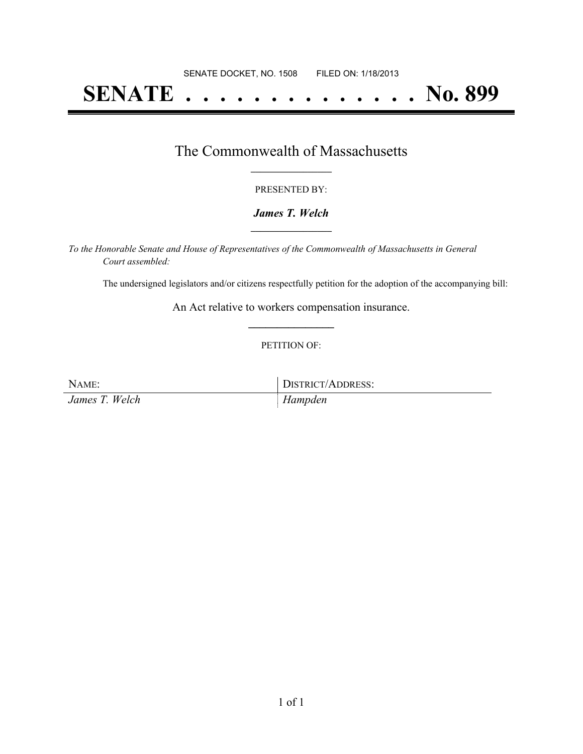# **SENATE . . . . . . . . . . . . . . No. 899**

### The Commonwealth of Massachusetts **\_\_\_\_\_\_\_\_\_\_\_\_\_\_\_\_\_**

#### PRESENTED BY:

#### *James T. Welch* **\_\_\_\_\_\_\_\_\_\_\_\_\_\_\_\_\_**

*To the Honorable Senate and House of Representatives of the Commonwealth of Massachusetts in General Court assembled:*

The undersigned legislators and/or citizens respectfully petition for the adoption of the accompanying bill:

An Act relative to workers compensation insurance. **\_\_\_\_\_\_\_\_\_\_\_\_\_\_\_**

#### PETITION OF:

NAME: DISTRICT/ADDRESS:

*James T. Welch Hampden*